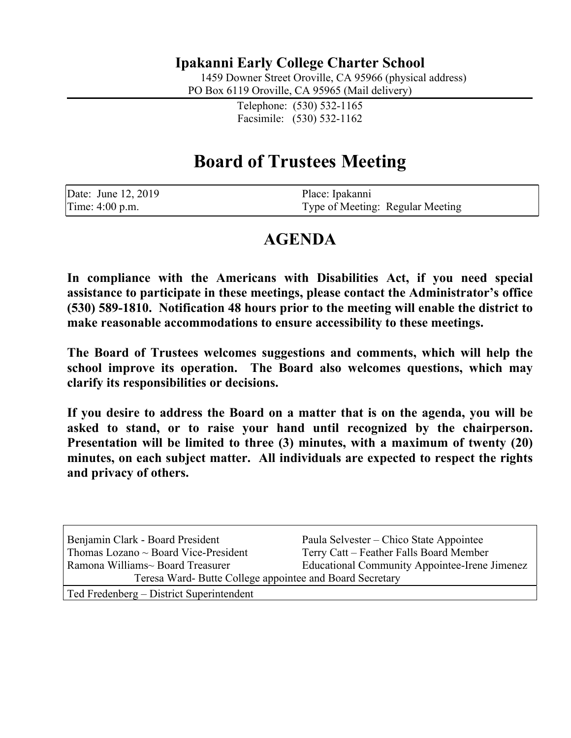# **Ipakanni Early College Charter School**

1459 Downer Street Oroville, CA 95966 (physical address)

PO Box 6119 Oroville, CA 95965 (Mail delivery)

Telephone: (530) 532-1165 Facsimile: (530) 532-1162

# **Board of Trustees Meeting**

| Date: June 12, 2019 | Place: Ipakanni                  |
|---------------------|----------------------------------|
| Time: 4:00 p.m.     | Type of Meeting: Regular Meeting |

# **AGENDA**

**In compliance with the Americans with Disabilities Act, if you need special assistance to participate in these meetings, please contact the Administrator's office (530) 589-1810. Notification 48 hours prior to the meeting will enable the district to make reasonable accommodations to ensure accessibility to these meetings.**

**The Board of Trustees welcomes suggestions and comments, which will help the school improve its operation. The Board also welcomes questions, which may clarify its responsibilities or decisions.**

**If you desire to address the Board on a matter that is on the agenda, you will be asked to stand, or to raise your hand until recognized by the chairperson. Presentation will be limited to three (3) minutes, with a maximum of twenty (20) minutes, on each subject matter. All individuals are expected to respect the rights and privacy of others.**

| Benjamin Clark - Board President                         | Paula Selvester – Chico State Appointee       |  |  |
|----------------------------------------------------------|-----------------------------------------------|--|--|
| Thomas Lozano $\sim$ Board Vice-President                | Terry Catt – Feather Falls Board Member       |  |  |
| Ramona Williams~ Board Treasurer                         | Educational Community Appointee-Irene Jimenez |  |  |
| Teresa Ward- Butte College appointee and Board Secretary |                                               |  |  |
| Ted Fredenberg – District Superintendent                 |                                               |  |  |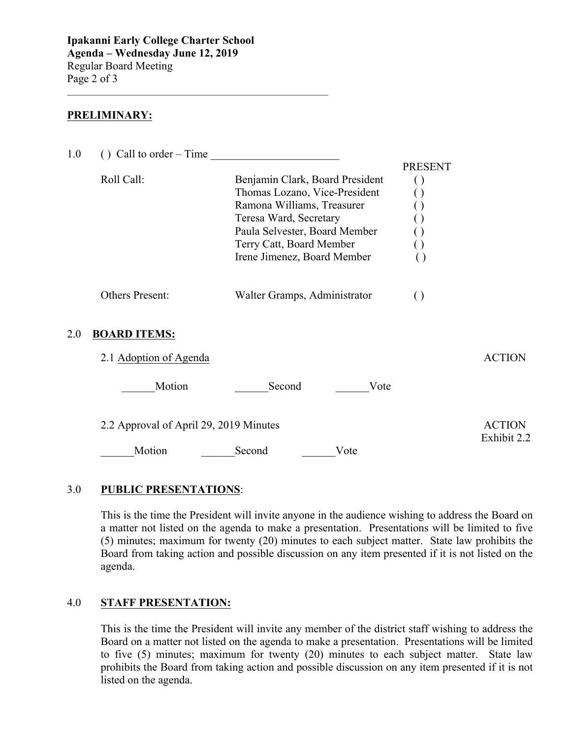**Ipakanni Early College Charter School Agenda – Wednesday June 12, 2019** Regular Board Meeting Page 2 of 3

 $\mathcal{L}_\text{max}$  , and the set of the set of the set of the set of the set of the set of the set of the set of the set of the set of the set of the set of the set of the set of the set of the set of the set of the set of the

#### **PRELIMINARY:**

| 1.0 | $()$ Call to order – Time              |                                                                                                                                                                                                                      |                                                                    |                              |  |
|-----|----------------------------------------|----------------------------------------------------------------------------------------------------------------------------------------------------------------------------------------------------------------------|--------------------------------------------------------------------|------------------------------|--|
|     | Roll Call:                             | Benjamin Clark, Board President<br>Thomas Lozano, Vice-President<br>Ramona Williams, Treasurer<br>Teresa Ward, Secretary<br>Paula Selvester, Board Member<br>Terry Catt, Board Member<br>Irene Jimenez, Board Member | <b>PRESENT</b><br>$\left( \ \right)$<br>$\Box$<br>$\left( \right)$ |                              |  |
|     | Others Present:                        | Walter Gramps, Administrator                                                                                                                                                                                         | $\left( \right)$                                                   |                              |  |
| 2.0 | <b>BOARD ITEMS:</b>                    |                                                                                                                                                                                                                      |                                                                    |                              |  |
|     | 2.1 Adoption of Agenda                 |                                                                                                                                                                                                                      |                                                                    | <b>ACTION</b>                |  |
|     | Motion                                 | Second<br>Vote                                                                                                                                                                                                       |                                                                    |                              |  |
|     | 2.2 Approval of April 29, 2019 Minutes |                                                                                                                                                                                                                      |                                                                    | <b>ACTION</b><br>Exhibit 2.2 |  |
|     | Motion                                 | Second<br>Vote                                                                                                                                                                                                       |                                                                    |                              |  |
|     |                                        |                                                                                                                                                                                                                      |                                                                    |                              |  |

#### 3.0 **PUBLIC PRESENTATIONS**:

This is the time the President will invite anyone in the audience wishing to address the Board on a matter not listed on the agenda to make a presentation. Presentations will be limited to five (5) minutes; maximum for twenty (20) minutes to each subject matter. State law prohibits the Board from taking action and possible discussion on any item presented if it is not listed on the agenda.

#### 4.0 **STAFF PRESENTATION:**

This is the time the President will invite any member of the district staff wishing to address the Board on a matter not listed on the agenda to make a presentation. Presentations will be limited to five (5) minutes; maximum for twenty (20) minutes to each subject matter. State law prohibits the Board from taking action and possible discussion on any item presented if it is not listed on the agenda.